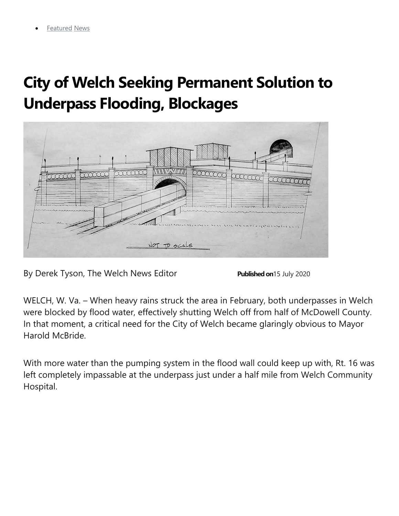## **City of Welch Seeking Permanent Solution to Underpass Flooding, Blockages**



By Derek Tyson, The Welch News Editor **Published on** 15 July 2020

WELCH, W. Va. – When heavy rains struck the area in February, both underpasses in Welch were blocked by flood water, effectively shutting Welch off from half of McDowell County. In that moment, a critical need for the City of Welch became glaringly obvious to Mayor Harold McBride.

With more water than the pumping system in the flood wall could keep up with, Rt. 16 was left completely impassable at the underpass just under a half mile from Welch Community Hospital.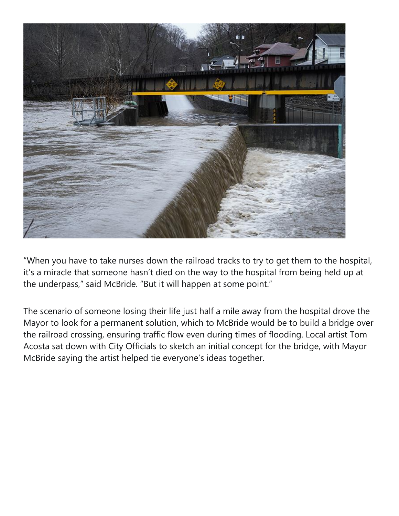

"When you have to take nurses down the railroad tracks to try to get them to the hospital, it's a miracle that someone hasn't died on the way to the hospital from being held up at the underpass," said McBride. "But it will happen at some point."

The scenario of someone losing their life just half a mile away from the hospital drove the Mayor to look for a permanent solution, which to McBride would be to build a bridge over the railroad crossing, ensuring traffic flow even during times of flooding. Local artist Tom Acosta sat down with City Officials to sketch an initial concept for the bridge, with Mayor McBride saying the artist helped tie everyone's ideas together.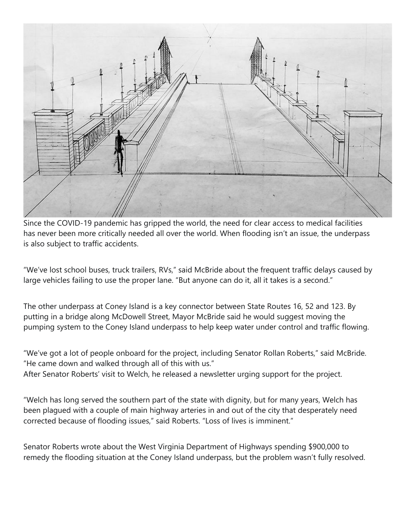

Since the COVID-19 pandemic has gripped the world, the need for clear access to medical facilities has never been more critically needed all over the world. When flooding isn't an issue, the underpass is also subject to traffic accidents.

"We've lost school buses, truck trailers, RVs," said McBride about the frequent traffic delays caused by large vehicles failing to use the proper lane. "But anyone can do it, all it takes is a second."

The other underpass at Coney Island is a key connector between State Routes 16, 52 and 123. By putting in a bridge along McDowell Street, Mayor McBride said he would suggest moving the pumping system to the Coney Island underpass to help keep water under control and traffic flowing.

"We've got a lot of people onboard for the project, including Senator Rollan Roberts," said McBride. "He came down and walked through all of this with us."

After Senator Roberts' visit to Welch, he released a newsletter urging support for the project.

"Welch has long served the southern part of the state with dignity, but for many years, Welch has been plagued with a couple of main highway arteries in and out of the city that desperately need corrected because of flooding issues," said Roberts. "Loss of lives is imminent."

Senator Roberts wrote about the West Virginia Department of Highways spending \$900,000 to remedy the flooding situation at the Coney Island underpass, but the problem wasn't fully resolved.